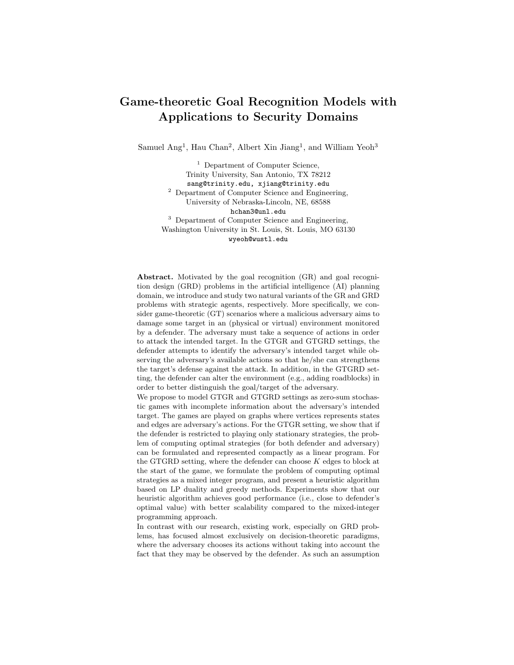# Game-theoretic Goal Recognition Models with Applications to Security Domains

Samuel Ang<sup>1</sup>, Hau Chan<sup>2</sup>, Albert Xin Jiang<sup>1</sup>, and William Yeoh<sup>3</sup>

<sup>1</sup> Department of Computer Science, Trinity University, San Antonio, TX 78212 sang@trinity.edu, xjiang@trinity.edu <sup>2</sup> Department of Computer Science and Engineering, University of Nebraska-Lincoln, NE, 68588 hchan3@unl.edu <sup>3</sup> Department of Computer Science and Engineering, Washington University in St. Louis, St. Louis, MO 63130

wyeoh@wustl.edu

Abstract. Motivated by the goal recognition (GR) and goal recognition design (GRD) problems in the artificial intelligence (AI) planning domain, we introduce and study two natural variants of the GR and GRD problems with strategic agents, respectively. More specifically, we consider game-theoretic (GT) scenarios where a malicious adversary aims to damage some target in an (physical or virtual) environment monitored by a defender. The adversary must take a sequence of actions in order to attack the intended target. In the GTGR and GTGRD settings, the defender attempts to identify the adversary's intended target while observing the adversary's available actions so that he/she can strengthens the target's defense against the attack. In addition, in the GTGRD setting, the defender can alter the environment (e.g., adding roadblocks) in order to better distinguish the goal/target of the adversary.

We propose to model GTGR and GTGRD settings as zero-sum stochastic games with incomplete information about the adversary's intended target. The games are played on graphs where vertices represents states and edges are adversary's actions. For the GTGR setting, we show that if the defender is restricted to playing only stationary strategies, the problem of computing optimal strategies (for both defender and adversary) can be formulated and represented compactly as a linear program. For the GTGRD setting, where the defender can choose  $K$  edges to block at the start of the game, we formulate the problem of computing optimal strategies as a mixed integer program, and present a heuristic algorithm based on LP duality and greedy methods. Experiments show that our heuristic algorithm achieves good performance (i.e., close to defender's optimal value) with better scalability compared to the mixed-integer programming approach.

In contrast with our research, existing work, especially on GRD problems, has focused almost exclusively on decision-theoretic paradigms, where the adversary chooses its actions without taking into account the fact that they may be observed by the defender. As such an assumption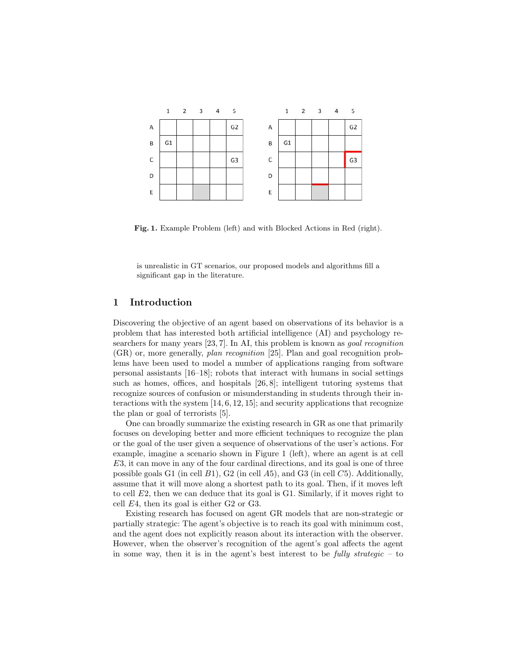

Fig. 1. Example Problem (left) and with Blocked Actions in Red (right).

is unrealistic in GT scenarios, our proposed models and algorithms fill a significant gap in the literature.

# 1 Introduction

Discovering the objective of an agent based on observations of its behavior is a problem that has interested both artificial intelligence (AI) and psychology researchers for many years [23, 7]. In AI, this problem is known as goal recognition (GR) or, more generally, plan recognition [25]. Plan and goal recognition problems have been used to model a number of applications ranging from software personal assistants [16–18]; robots that interact with humans in social settings such as homes, offices, and hospitals [26, 8]; intelligent tutoring systems that recognize sources of confusion or misunderstanding in students through their interactions with the system [14, 6, 12, 15]; and security applications that recognize the plan or goal of terrorists [5].

One can broadly summarize the existing research in GR as one that primarily focuses on developing better and more efficient techniques to recognize the plan or the goal of the user given a sequence of observations of the user's actions. For example, imagine a scenario shown in Figure 1 (left), where an agent is at cell E3, it can move in any of the four cardinal directions, and its goal is one of three possible goals G1 (in cell B1), G2 (in cell A5), and G3 (in cell C5). Additionally, assume that it will move along a shortest path to its goal. Then, if it moves left to cell E2, then we can deduce that its goal is G1. Similarly, if it moves right to cell E4, then its goal is either G2 or G3.

Existing research has focused on agent GR models that are non-strategic or partially strategic: The agent's objective is to reach its goal with minimum cost, and the agent does not explicitly reason about its interaction with the observer. However, when the observer's recognition of the agent's goal affects the agent in some way, then it is in the agent's best interest to be *fully strategic* – to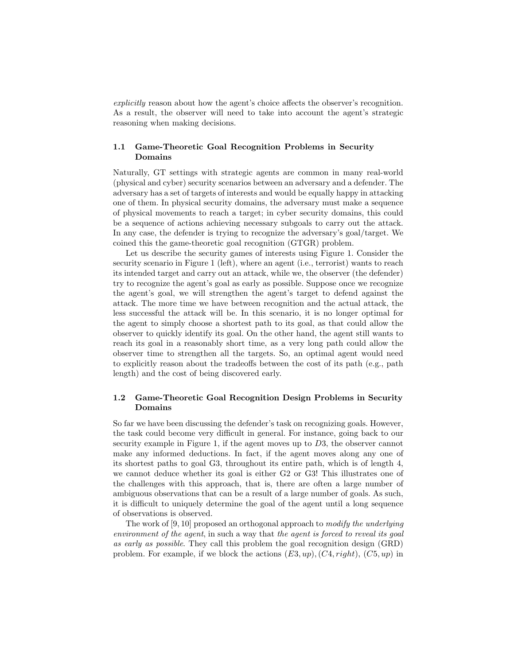explicitly reason about how the agent's choice affects the observer's recognition. As a result, the observer will need to take into account the agent's strategic reasoning when making decisions.

# 1.1 Game-Theoretic Goal Recognition Problems in Security Domains

Naturally, GT settings with strategic agents are common in many real-world (physical and cyber) security scenarios between an adversary and a defender. The adversary has a set of targets of interests and would be equally happy in attacking one of them. In physical security domains, the adversary must make a sequence of physical movements to reach a target; in cyber security domains, this could be a sequence of actions achieving necessary subgoals to carry out the attack. In any case, the defender is trying to recognize the adversary's goal/target. We coined this the game-theoretic goal recognition (GTGR) problem.

Let us describe the security games of interests using Figure 1. Consider the security scenario in Figure 1 (left), where an agent (i.e., terrorist) wants to reach its intended target and carry out an attack, while we, the observer (the defender) try to recognize the agent's goal as early as possible. Suppose once we recognize the agent's goal, we will strengthen the agent's target to defend against the attack. The more time we have between recognition and the actual attack, the less successful the attack will be. In this scenario, it is no longer optimal for the agent to simply choose a shortest path to its goal, as that could allow the observer to quickly identify its goal. On the other hand, the agent still wants to reach its goal in a reasonably short time, as a very long path could allow the observer time to strengthen all the targets. So, an optimal agent would need to explicitly reason about the tradeoffs between the cost of its path (e.g., path length) and the cost of being discovered early.

# 1.2 Game-Theoretic Goal Recognition Design Problems in Security Domains

So far we have been discussing the defender's task on recognizing goals. However, the task could become very difficult in general. For instance, going back to our security example in Figure 1, if the agent moves up to D3, the observer cannot make any informed deductions. In fact, if the agent moves along any one of its shortest paths to goal G3, throughout its entire path, which is of length 4, we cannot deduce whether its goal is either G2 or G3! This illustrates one of the challenges with this approach, that is, there are often a large number of ambiguous observations that can be a result of a large number of goals. As such, it is difficult to uniquely determine the goal of the agent until a long sequence of observations is observed.

The work of [9, 10] proposed an orthogonal approach to modify the underlying environment of the agent, in such a way that the agent is forced to reveal its goal as early as possible. They call this problem the goal recognition design (GRD) problem. For example, if we block the actions  $(E3, up)$ ,  $(C4, right)$ ,  $(C5, up)$  in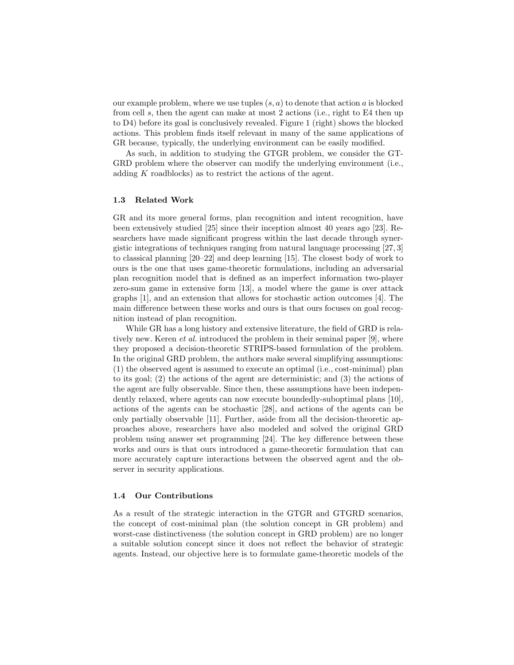our example problem, where we use tuples  $(s, a)$  to denote that action a is blocked from cell s, then the agent can make at most 2 actions (i.e., right to E4 then up to D4) before its goal is conclusively revealed. Figure 1 (right) shows the blocked actions. This problem finds itself relevant in many of the same applications of GR because, typically, the underlying environment can be easily modified.

As such, in addition to studying the GTGR problem, we consider the GT-GRD problem where the observer can modify the underlying environment (i.e., adding  $K$  roadblocks) as to restrict the actions of the agent.

#### 1.3 Related Work

GR and its more general forms, plan recognition and intent recognition, have been extensively studied [25] since their inception almost 40 years ago [23]. Researchers have made significant progress within the last decade through synergistic integrations of techniques ranging from natural language processing [27, 3] to classical planning [20–22] and deep learning [15]. The closest body of work to ours is the one that uses game-theoretic formulations, including an adversarial plan recognition model that is defined as an imperfect information two-player zero-sum game in extensive form [13], a model where the game is over attack graphs [1], and an extension that allows for stochastic action outcomes [4]. The main difference between these works and ours is that ours focuses on goal recognition instead of plan recognition.

While GR has a long history and extensive literature, the field of GRD is relatively new. Keren *et al.* introduced the problem in their seminal paper [9], where they proposed a decision-theoretic STRIPS-based formulation of the problem. In the original GRD problem, the authors make several simplifying assumptions: (1) the observed agent is assumed to execute an optimal (i.e., cost-minimal) plan to its goal; (2) the actions of the agent are deterministic; and (3) the actions of the agent are fully observable. Since then, these assumptions have been independently relaxed, where agents can now execute boundedly-suboptimal plans [10], actions of the agents can be stochastic [28], and actions of the agents can be only partially observable [11]. Further, aside from all the decision-theoretic approaches above, researchers have also modeled and solved the original GRD problem using answer set programming [24]. The key difference between these works and ours is that ours introduced a game-theoretic formulation that can more accurately capture interactions between the observed agent and the observer in security applications.

#### 1.4 Our Contributions

As a result of the strategic interaction in the GTGR and GTGRD scenarios, the concept of cost-minimal plan (the solution concept in GR problem) and worst-case distinctiveness (the solution concept in GRD problem) are no longer a suitable solution concept since it does not reflect the behavior of strategic agents. Instead, our objective here is to formulate game-theoretic models of the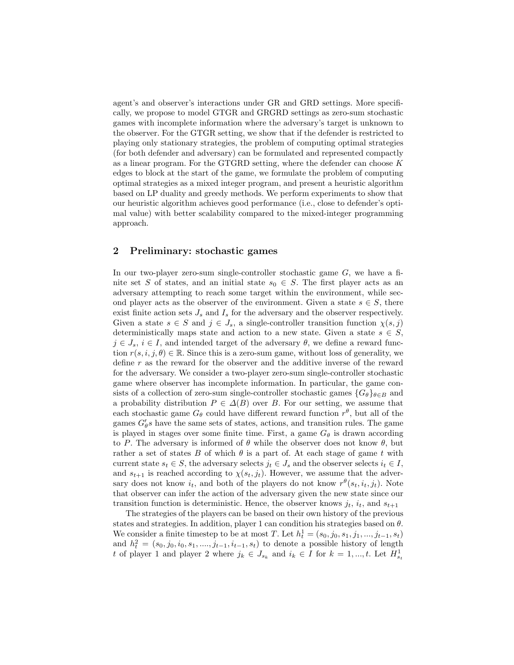agent's and observer's interactions under GR and GRD settings. More specifically, we propose to model GTGR and GRGRD settings as zero-sum stochastic games with incomplete information where the adversary's target is unknown to the observer. For the GTGR setting, we show that if the defender is restricted to playing only stationary strategies, the problem of computing optimal strategies (for both defender and adversary) can be formulated and represented compactly as a linear program. For the GTGRD setting, where the defender can choose  $K$ edges to block at the start of the game, we formulate the problem of computing optimal strategies as a mixed integer program, and present a heuristic algorithm based on LP duality and greedy methods. We perform experiments to show that our heuristic algorithm achieves good performance (i.e., close to defender's optimal value) with better scalability compared to the mixed-integer programming approach.

# 2 Preliminary: stochastic games

In our two-player zero-sum single-controller stochastic game  $G$ , we have a finite set S of states, and an initial state  $s_0 \in S$ . The first player acts as an adversary attempting to reach some target within the environment, while second player acts as the observer of the environment. Given a state  $s \in S$ , there exist finite action sets  $J_s$  and  $I_s$  for the adversary and the observer respectively. Given a state  $s \in S$  and  $j \in J_s$ , a single-controller transition function  $\chi(s, j)$ deterministically maps state and action to a new state. Given a state  $s \in S$ ,  $j \in J_s$ ,  $i \in I$ , and intended target of the adversary  $\theta$ , we define a reward function  $r(s, i, j, \theta) \in \mathbb{R}$ . Since this is a zero-sum game, without loss of generality, we define r as the reward for the observer and the additive inverse of the reward for the adversary. We consider a two-player zero-sum single-controller stochastic game where observer has incomplete information. In particular, the game consists of a collection of zero-sum single-controller stochastic games  ${G_{\theta}}_{\theta \in B}$  and a probability distribution  $P \in \Delta(B)$  over B. For our setting, we assume that each stochastic game  $G_{\theta}$  could have different reward function  $r^{\theta}$ , but all of the games  $G'_{\theta}s$  have the same sets of states, actions, and transition rules. The game is played in stages over some finite time. First, a game  $G_{\theta}$  is drawn according to P. The adversary is informed of  $\theta$  while the observer does not know  $\theta$ , but rather a set of states B of which  $\theta$  is a part of. At each stage of game t with current state  $s_t \in S$ , the adversary selects  $j_t \in J_s$  and the observer selects  $i_t \in I$ , and  $s_{t+1}$  is reached according to  $\chi(s_t, j_t)$ . However, we assume that the adversary does not know  $i_t$ , and both of the players do not know  $r^{\theta}(s_t, i_t, j_t)$ . Note that observer can infer the action of the adversary given the new state since our transition function is deterministic. Hence, the observer knows  $j_t$ ,  $i_t$ , and  $s_{t+1}$ 

The strategies of the players can be based on their own history of the previous states and strategies. In addition, player 1 can condition his strategies based on  $\theta$ . We consider a finite timestep to be at most T. Let  $h_t^1 = (s_0, j_0, s_1, j_1, ..., j_{t-1}, s_t)$ and  $h_t^2 = (s_0, j_0, i_0, s_1, \ldots, j_{t-1}, i_{t-1}, s_t)$  to denote a possible history of length t of player 1 and player 2 where  $j_k \in J_{s_k}$  and  $i_k \in I$  for  $k = 1, ..., t$ . Let  $H_{s_t}^1$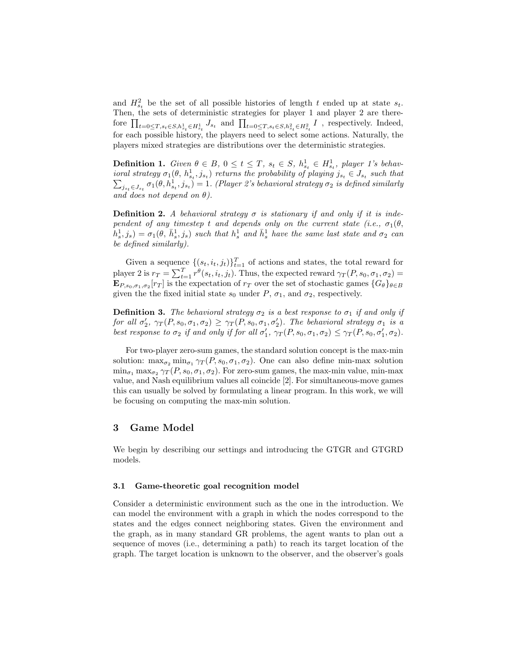and  $H_{s_t}^2$  be the set of all possible histories of length t ended up at state  $s_t$ . Then, the sets of deterministic strategies for player 1 and player 2 are therefore  $\prod_{t=0\leq T,s_t\in S,h_{s_t}^1\in H_{s_t}^1} J_{s_t}$  and  $\prod_{t=0\leq T,s_t\in S,h_{s_t}^2\in H_{s_t}^2} I$ , respectively. Indeed, for each possible history, the players need to select some actions. Naturally, the players mixed strategies are distributions over the deterministic strategies.

**Definition 1.** Given  $\theta \in B$ ,  $0 \le t \le T$ ,  $s_t \in S$ ,  $h_{s_t}^1 \in H_{s_t}^1$ , player 1's behavioral strategy  $\sigma_1(\theta, h_{s_t}^1, j_{s_t})$  returns the probability of playing  $j_{s_t} \in J_{s_t}$  such that  $\sum_{j_{s_t} \in J_{s_t}} \sigma_1(\theta, h^1_{s_t}, j_{s_t}) = 1.$  (Player 2's behavioral strategy  $\sigma_2$  is defined similarly and does not depend on  $\theta$ ).

**Definition 2.** A behavioral strategy  $\sigma$  is stationary if and only if it is independent of any timestep t and depends only on the current state (i.e.,  $\sigma_1(\theta,$  $h_s^1, j_s) = \sigma_1(\theta, \bar{h}_s^1, j_s)$  such that  $h_s^1$  and  $\bar{h}_s^1$  have the same last state and  $\sigma_2$  can be defined similarly).

Given a sequence  $\{(s_t, i_t, j_t)\}_{t=1}^T$  of actions and states, the total reward for player 2 is  $r_T = \sum_{t=1}^T r^{\theta}(s_t, i_t, j_t)$ . Thus, the expected reward  $\gamma_T(P, s_0, \sigma_1, \sigma_2)$  $\mathbf{E}_{P,s_0,\sigma_1,\sigma_2}[r_T]$  is the expectation of  $r_T$  over the set of stochastic games  $\{G_\theta\}_{\theta \in B}$ given the the fixed initial state  $s_0$  under  $P$ ,  $\sigma_1$ , and  $\sigma_2$ , respectively.

**Definition 3.** The behavioral strategy  $\sigma_2$  is a best response to  $\sigma_1$  if and only if for all  $\sigma'_2$ ,  $\gamma_T(P, s_0, \sigma_1, \sigma_2) \geq \gamma_T(P, s_0, \sigma_1, \sigma'_2)$ . The behavioral strategy  $\sigma_1$  is a best response to  $\sigma_2$  if and only if for all  $\sigma'_1$ ,  $\gamma_T(P, s_0, \sigma_1, \sigma_2) \leq \gamma_T(P, s_0, \sigma'_1, \sigma_2)$ .

For two-player zero-sum games, the standard solution concept is the max-min solution:  $\max_{\sigma_2} \min_{\sigma_1} \gamma_T(P, s_0, \sigma_1, \sigma_2)$ . One can also define min-max solution  $\min_{\sigma_1} \max_{\sigma_2} \gamma_T(P, s_0, \sigma_1, \sigma_2)$ . For zero-sum games, the max-min value, min-max value, and Nash equilibrium values all coincide [2]. For simultaneous-move games this can usually be solved by formulating a linear program. In this work, we will be focusing on computing the max-min solution.

# 3 Game Model

We begin by describing our settings and introducing the GTGR and GTGRD models.

## 3.1 Game-theoretic goal recognition model

Consider a deterministic environment such as the one in the introduction. We can model the environment with a graph in which the nodes correspond to the states and the edges connect neighboring states. Given the environment and the graph, as in many standard GR problems, the agent wants to plan out a sequence of moves (i.e., determining a path) to reach its target location of the graph. The target location is unknown to the observer, and the observer's goals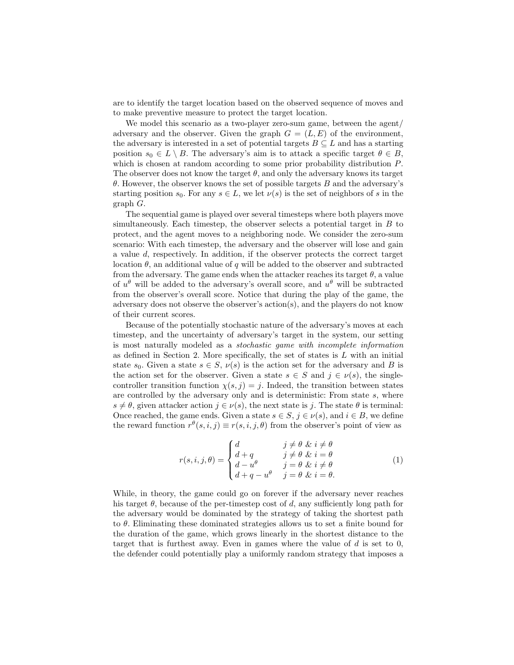are to identify the target location based on the observed sequence of moves and to make preventive measure to protect the target location.

We model this scenario as a two-player zero-sum game, between the agent/ adversary and the observer. Given the graph  $G = (L, E)$  of the environment, the adversary is interested in a set of potential targets  $B \subseteq L$  and has a starting position  $s_0 \in L \setminus B$ . The adversary's aim is to attack a specific target  $\theta \in B$ , which is chosen at random according to some prior probability distribution P. The observer does not know the target  $\theta$ , and only the adversary knows its target  $\theta$ . However, the observer knows the set of possible targets B and the adversary's starting position  $s_0$ . For any  $s \in L$ , we let  $\nu(s)$  is the set of neighbors of s in the graph G.

The sequential game is played over several timesteps where both players move simultaneously. Each timestep, the observer selects a potential target in  $B$  to protect, and the agent moves to a neighboring node. We consider the zero-sum scenario: With each timestep, the adversary and the observer will lose and gain a value d, respectively. In addition, if the observer protects the correct target location  $\theta$ , an additional value of q will be added to the observer and subtracted from the adversary. The game ends when the attacker reaches its target  $\theta$ , a value of  $u^{\theta}$  will be added to the adversary's overall score, and  $u^{\theta}$  will be subtracted from the observer's overall score. Notice that during the play of the game, the adversary does not observe the observer's action(s), and the players do not know of their current scores.

Because of the potentially stochastic nature of the adversary's moves at each timestep, and the uncertainty of adversary's target in the system, our setting is most naturally modeled as a stochastic game with incomplete information as defined in Section 2. More specifically, the set of states is  $L$  with an initial state  $s_0$ . Given a state  $s \in S$ ,  $\nu(s)$  is the action set for the adversary and B is the action set for the observer. Given a state  $s \in S$  and  $j \in \nu(s)$ , the singlecontroller transition function  $\chi(s, j) = j$ . Indeed, the transition between states are controlled by the adversary only and is deterministic: From state s, where  $s \neq \theta$ , given attacker action  $j \in \nu(s)$ , the next state is j. The state  $\theta$  is terminal: Once reached, the game ends. Given a state  $s \in S$ ,  $j \in \nu(s)$ , and  $i \in B$ , we define the reward function  $r^{\theta}(s, i, j) \equiv r(s, i, j, \theta)$  from the observer's point of view as

$$
r(s,i,j,\theta) = \begin{cases} d & j \neq \theta \ \& i \neq \theta \\ d + q & j \neq \theta \ \& i = \theta \\ d - u^{\theta} & j = \theta \ \& i \neq \theta \\ d + q - u^{\theta} & j = \theta \ \& i = \theta. \end{cases} \tag{1}
$$

While, in theory, the game could go on forever if the adversary never reaches his target  $\theta$ , because of the per-timestep cost of d, any sufficiently long path for the adversary would be dominated by the strategy of taking the shortest path to  $\theta$ . Eliminating these dominated strategies allows us to set a finite bound for the duration of the game, which grows linearly in the shortest distance to the target that is furthest away. Even in games where the value of  $d$  is set to  $0$ , the defender could potentially play a uniformly random strategy that imposes a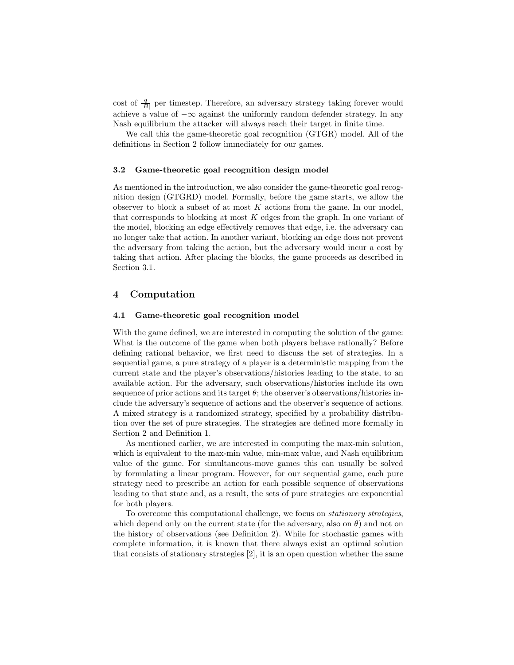cost of  $\frac{q}{|B|}$  per timestep. Therefore, an adversary strategy taking forever would achieve a value of  $-\infty$  against the uniformly random defender strategy. In any Nash equilibrium the attacker will always reach their target in finite time.

We call this the game-theoretic goal recognition (GTGR) model. All of the definitions in Section 2 follow immediately for our games.

#### 3.2 Game-theoretic goal recognition design model

As mentioned in the introduction, we also consider the game-theoretic goal recognition design (GTGRD) model. Formally, before the game starts, we allow the observer to block a subset of at most  $K$  actions from the game. In our model, that corresponds to blocking at most  $K$  edges from the graph. In one variant of the model, blocking an edge effectively removes that edge, i.e. the adversary can no longer take that action. In another variant, blocking an edge does not prevent the adversary from taking the action, but the adversary would incur a cost by taking that action. After placing the blocks, the game proceeds as described in Section 3.1.

# 4 Computation

#### 4.1 Game-theoretic goal recognition model

With the game defined, we are interested in computing the solution of the game: What is the outcome of the game when both players behave rationally? Before defining rational behavior, we first need to discuss the set of strategies. In a sequential game, a pure strategy of a player is a deterministic mapping from the current state and the player's observations/histories leading to the state, to an available action. For the adversary, such observations/histories include its own sequence of prior actions and its target  $\theta$ ; the observer's observations/histories include the adversary's sequence of actions and the observer's sequence of actions. A mixed strategy is a randomized strategy, specified by a probability distribution over the set of pure strategies. The strategies are defined more formally in Section 2 and Definition 1.

As mentioned earlier, we are interested in computing the max-min solution, which is equivalent to the max-min value, min-max value, and Nash equilibrium value of the game. For simultaneous-move games this can usually be solved by formulating a linear program. However, for our sequential game, each pure strategy need to prescribe an action for each possible sequence of observations leading to that state and, as a result, the sets of pure strategies are exponential for both players.

To overcome this computational challenge, we focus on stationary strategies, which depend only on the current state (for the adversary, also on  $\theta$ ) and not on the history of observations (see Definition 2). While for stochastic games with complete information, it is known that there always exist an optimal solution that consists of stationary strategies [2], it is an open question whether the same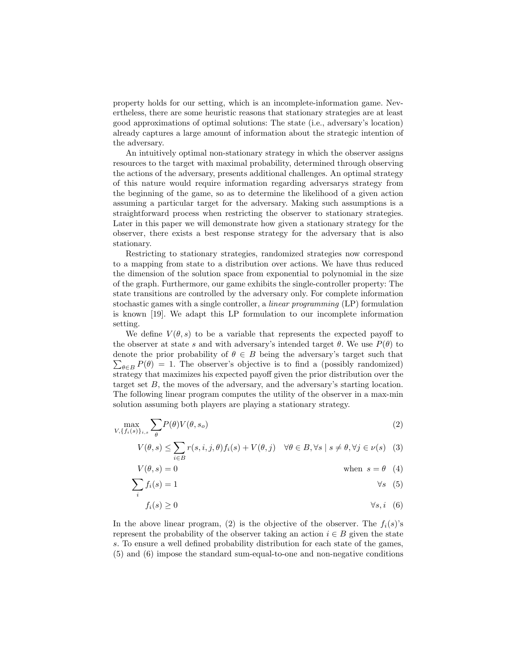property holds for our setting, which is an incomplete-information game. Nevertheless, there are some heuristic reasons that stationary strategies are at least good approximations of optimal solutions: The state (i.e., adversary's location) already captures a large amount of information about the strategic intention of the adversary.

An intuitively optimal non-stationary strategy in which the observer assigns resources to the target with maximal probability, determined through observing the actions of the adversary, presents additional challenges. An optimal strategy of this nature would require information regarding adversarys strategy from the beginning of the game, so as to determine the likelihood of a given action assuming a particular target for the adversary. Making such assumptions is a straightforward process when restricting the observer to stationary strategies. Later in this paper we will demonstrate how given a stationary strategy for the observer, there exists a best response strategy for the adversary that is also stationary.

Restricting to stationary strategies, randomized strategies now correspond to a mapping from state to a distribution over actions. We have thus reduced the dimension of the solution space from exponential to polynomial in the size of the graph. Furthermore, our game exhibits the single-controller property: The state transitions are controlled by the adversary only. For complete information stochastic games with a single controller, a linear programming (LP) formulation is known [19]. We adapt this LP formulation to our incomplete information setting.

We define  $V(\theta, s)$  to be a variable that represents the expected payoff to the observer at state s and with adversary's intended target  $\theta$ . We use  $P(\theta)$  to denote the prior probability of  $\theta \in B$  being the adversary's target such that  $\sum_{\theta \in B} P(\theta) = 1$ . The observer's objective is to find a (possibly randomized) strategy that maximizes his expected payoff given the prior distribution over the target set  $B$ , the moves of the adversary, and the adversary's starting location. The following linear program computes the utility of the observer in a max-min solution assuming both players are playing a stationary strategy.

$$
\max_{V, \{f_i(s)\}_{i,s}} \sum_{\theta} P(\theta) V(\theta, s_o) \tag{2}
$$

$$
V(\theta, s) \le \sum_{i \in B} r(s, i, j, \theta) f_i(s) + V(\theta, j) \quad \forall \theta \in B, \forall s \mid s \ne \theta, \forall j \in \nu(s)
$$
 (3)

$$
V(\theta, s) = 0 \t\t \t\t when \t s = \theta \t(4)
$$

$$
\sum_{i} f_i(s) = 1 \qquad \qquad \forall s \quad (5)
$$

$$
f_i(s) \ge 0 \qquad \forall s, i \quad (6)
$$

In the above linear program, (2) is the objective of the observer. The  $f_i(s)$ 's represent the probability of the observer taking an action  $i \in B$  given the state s. To ensure a well defined probability distribution for each state of the games, (5) and (6) impose the standard sum-equal-to-one and non-negative conditions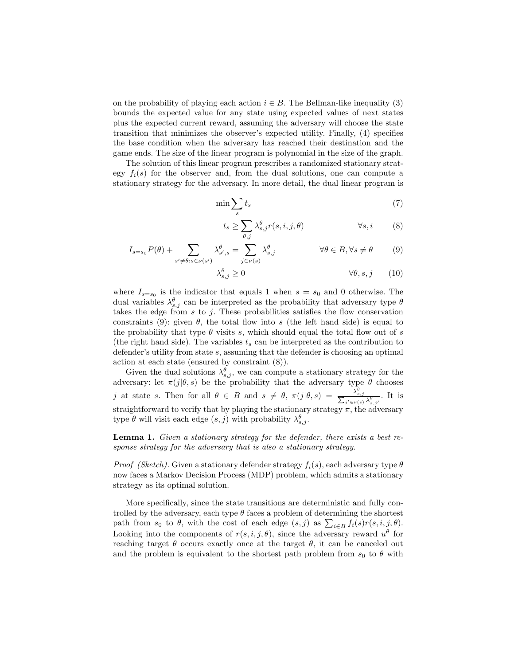on the probability of playing each action  $i \in B$ . The Bellman-like inequality (3) bounds the expected value for any state using expected values of next states plus the expected current reward, assuming the adversary will choose the state transition that minimizes the observer's expected utility. Finally, (4) specifies the base condition when the adversary has reached their destination and the game ends. The size of the linear program is polynomial in the size of the graph.

The solution of this linear program prescribes a randomized stationary strategy  $f_i(s)$  for the observer and, from the dual solutions, one can compute a stationary strategy for the adversary. In more detail, the dual linear program is

$$
\min \sum_{s} t_s \tag{7}
$$

$$
t_s \ge \sum_{\theta,j} \lambda_{s,j}^{\theta} r(s,i,j,\theta) \qquad \forall s,i \qquad (8)
$$

$$
I_{s=s_0}P(\theta) + \sum_{s' \neq \theta: s \in \nu(s')} \lambda_{s',s}^{\theta} = \sum_{j \in \nu(s)} \lambda_{s,j}^{\theta} \qquad \forall \theta \in B, \forall s \neq \theta
$$
 (9)

$$
\lambda_{s,j}^{\theta} \ge 0 \qquad \qquad \forall \theta, s, j \qquad (10)
$$

where  $I_{s=s_0}$  is the indicator that equals 1 when  $s = s_0$  and 0 otherwise. The dual variables  $\lambda_{s,j}^{\theta}$  can be interpreted as the probability that adversary type  $\theta$ takes the edge from s to j. These probabilities satisfies the flow conservation constraints (9): given  $\theta$ , the total flow into s (the left hand side) is equal to the probability that type  $\theta$  visits s, which should equal the total flow out of s (the right hand side). The variables  $t_s$  can be interpreted as the contribution to defender's utility from state s, assuming that the defender is choosing an optimal action at each state (ensured by constraint (8)).

Given the dual solutions  $\lambda_{s,j}^{\theta}$ , we can compute a stationary strategy for the adversary: let  $\pi(j|\theta, s)$  be the probability that the adversary type  $\theta$  chooses j at state s. Then for all  $\theta \in B$  and  $s \neq \theta$ ,  $\pi(j|\theta, s) = \frac{\lambda_{s,j}^{\theta}}{\sum_{j' \in \nu(s)} \lambda_{s,j'}^{\theta}}$ . It is straightforward to verify that by playing the stationary strategy  $\pi$ , the adversary type  $\theta$  will visit each edge  $(s, j)$  with probability  $\lambda_{s,j}^{\theta}$ .

Lemma 1. Given a stationary strategy for the defender, there exists a best response strategy for the adversary that is also a stationary strategy.

*Proof (Sketch).* Given a stationary defender strategy  $f_i(s)$ , each adversary type  $\theta$ now faces a Markov Decision Process (MDP) problem, which admits a stationary strategy as its optimal solution.

More specifically, since the state transitions are deterministic and fully controlled by the adversary, each type  $\theta$  faces a problem of determining the shortest path from  $s_0$  to  $\theta$ , with the cost of each edge  $(s, j)$  as  $\sum_{i \in B} f_i(s)r(s, i, j, \theta)$ . Looking into the components of  $r(s, i, j, \theta)$ , since the adversary reward  $u^{\theta}$  for reaching target  $\theta$  occurs exactly once at the target  $\theta$ , it can be canceled out and the problem is equivalent to the shortest path problem from  $s_0$  to  $\theta$  with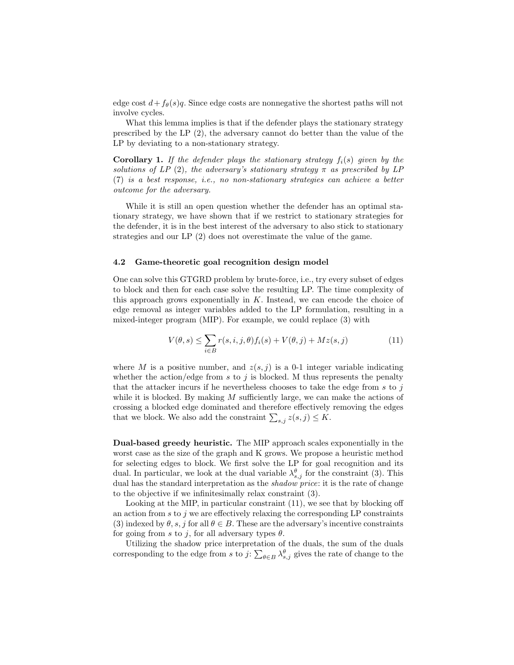edge cost  $d + f_{\theta}(s)q$ . Since edge costs are nonnegative the shortest paths will not involve cycles.

What this lemma implies is that if the defender plays the stationary strategy prescribed by the LP (2), the adversary cannot do better than the value of the LP by deviating to a non-stationary strategy.

**Corollary 1.** If the defender plays the stationary strategy  $f_i(s)$  given by the solutions of LP (2), the adversary's stationary strategy  $\pi$  as prescribed by LP (7) is a best response, i.e., no non-stationary strategies can achieve a better outcome for the adversary.

While it is still an open question whether the defender has an optimal stationary strategy, we have shown that if we restrict to stationary strategies for the defender, it is in the best interest of the adversary to also stick to stationary strategies and our LP (2) does not overestimate the value of the game.

#### 4.2 Game-theoretic goal recognition design model

One can solve this GTGRD problem by brute-force, i.e., try every subset of edges to block and then for each case solve the resulting LP. The time complexity of this approach grows exponentially in  $K$ . Instead, we can encode the choice of edge removal as integer variables added to the LP formulation, resulting in a mixed-integer program (MIP). For example, we could replace (3) with

$$
V(\theta, s) \le \sum_{i \in B} r(s, i, j, \theta) f_i(s) + V(\theta, j) + Mz(s, j)
$$
\n(11)

where M is a positive number, and  $z(s, j)$  is a 0-1 integer variable indicating whether the action/edge from s to j is blocked. M thus represents the penalty that the attacker incurs if he nevertheless chooses to take the edge from  $s$  to  $j$ while it is blocked. By making  $M$  sufficiently large, we can make the actions of crossing a blocked edge dominated and therefore effectively removing the edges that we block. We also add the constraint  $\sum_{s,j} z(s,j) \leq K$ .

Dual-based greedy heuristic. The MIP approach scales exponentially in the worst case as the size of the graph and K grows. We propose a heuristic method for selecting edges to block. We first solve the LP for goal recognition and its dual. In particular, we look at the dual variable  $\lambda_{s,j}^{\theta}$  for the constraint (3). This dual has the standard interpretation as the *shadow price*: it is the rate of change to the objective if we infinitesimally relax constraint (3).

Looking at the MIP, in particular constraint (11), we see that by blocking off an action from s to  $j$  we are effectively relaxing the corresponding LP constraints (3) indexed by  $\theta$ , s, j for all  $\theta \in B$ . These are the adversary's incentive constraints for going from s to j, for all adversary types  $\theta$ .

Utilizing the shadow price interpretation of the duals, the sum of the duals corresponding to the edge from s to j:  $\sum_{\theta \in B} \lambda_{s,j}^{\theta}$  gives the rate of change to the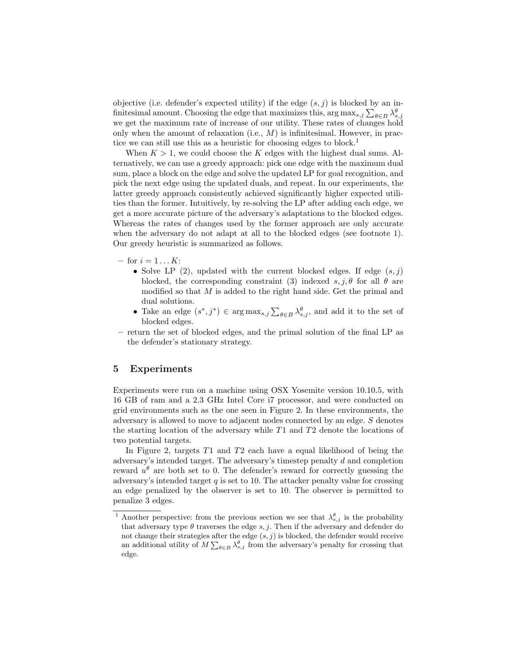objective (i.e. defender's expected utility) if the edge  $(s, j)$  is blocked by an infinitesimal amount. Choosing the edge that maximizes this,  $\arg \max_{s,j} \sum_{\theta \in B} \lambda_{s,j}^{\theta}$ we get the maximum rate of increase of our utility. These rates of changes hold only when the amount of relaxation (i.e.,  $M$ ) is infinitesimal. However, in practice we can still use this as a heuristic for choosing edges to block.<sup>1</sup>

When  $K > 1$ , we could choose the K edges with the highest dual sums. Alternatively, we can use a greedy approach: pick one edge with the maximum dual sum, place a block on the edge and solve the updated LP for goal recognition, and pick the next edge using the updated duals, and repeat. In our experiments, the latter greedy approach consistently achieved significantly higher expected utilities than the former. Intuitively, by re-solving the LP after adding each edge, we get a more accurate picture of the adversary's adaptations to the blocked edges. Whereas the rates of changes used by the former approach are only accurate when the adversary do not adapt at all to the blocked edges (see footnote 1). Our greedy heuristic is summarized as follows.

- for  $i = 1...K$ :
	- Solve LP  $(2)$ , updated with the current blocked edges. If edge  $(s, j)$ blocked, the corresponding constraint (3) indexed  $s, j, \theta$  for all  $\theta$  are modified so that  $M$  is added to the right hand side. Get the primal and dual solutions.
	- Take an edge  $(s^*, j^*) \in \arg \max_{s,j} \sum_{\theta \in B} \lambda_{s,j}^{\theta}$ , and add it to the set of blocked edges.
- return the set of blocked edges, and the primal solution of the final LP as the defender's stationary strategy.

# 5 Experiments

Experiments were run on a machine using OSX Yosemite version 10.10.5, with 16 GB of ram and a 2.3 GHz Intel Core i7 processor, and were conducted on grid environments such as the one seen in Figure 2. In these environments, the adversary is allowed to move to adjacent nodes connected by an edge. S denotes the starting location of the adversary while T1 and T2 denote the locations of two potential targets.

In Figure 2, targets  $T1$  and  $T2$  each have a equal likelihood of being the adversary's intended target. The adversary's timestep penalty d and completion reward  $u^{\theta}$  are both set to 0. The defender's reward for correctly guessing the adversary's intended target  $q$  is set to 10. The attacker penalty value for crossing an edge penalized by the observer is set to 10. The observer is permitted to penalize 3 edges.

<sup>&</sup>lt;sup>1</sup> Another perspective: from the previous section we see that  $\lambda_{s,j}^{\theta}$  is the probability that adversary type  $\theta$  traverses the edge s, j. Then if the adversary and defender do not change their strategies after the edge  $(s, j)$  is blocked, the defender would receive an additional utility of  $M \sum_{\theta \in B} \lambda_{s,j}^{\theta}$  from the adversary's penalty for crossing that edge.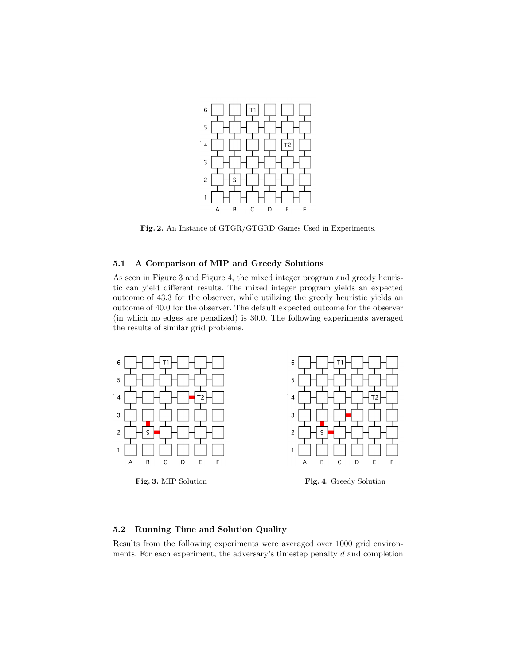

Fig. 2. An Instance of GTGR/GTGRD Games Used in Experiments.

# 5.1 A Comparison of MIP and Greedy Solutions

As seen in Figure 3 and Figure 4, the mixed integer program and greedy heuristic can yield different results. The mixed integer program yields an expected outcome of 43.3 for the observer, while utilizing the greedy heuristic yields an outcome of 40.0 for the observer. The default expected outcome for the observer (in which no edges are penalized) is 30.0. The following experiments averaged the results of similar grid problems.



Fig. 3. MIP Solution Fig. 4. Greedy Solution

## 5.2 Running Time and Solution Quality

Results from the following experiments were averaged over 1000 grid environments. For each experiment, the adversary's timestep penalty  $d$  and completion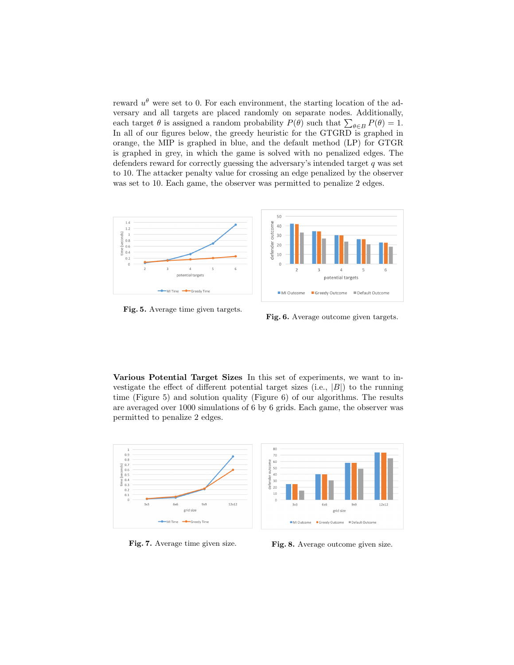reward  $u^{\theta}$  were set to 0. For each environment, the starting location of the adversary and all targets are placed randomly on separate nodes. Additionally, each target  $\theta$  is assigned a random probability  $P(\theta)$  such that  $\sum_{\theta \in B} P(\theta) = 1$ . In all of our figures below, the greedy heuristic for the GTGRD is graphed in orange, the MIP is graphed in blue, and the default method (LP) for GTGR is graphed in grey, in which the game is solved with no penalized edges. The defenders reward for correctly guessing the adversary's intended target q was set to 10. The attacker penalty value for crossing an edge penalized by the observer was set to 10. Each game, the observer was permitted to penalize 2 edges.



Fig. 5. Average time given targets.

Fig. 6. Average outcome given targets.

Various Potential Target Sizes In this set of experiments, we want to investigate the effect of different potential target sizes (i.e.,  $|B|$ ) to the running time (Figure 5) and solution quality (Figure 6) of our algorithms. The results are averaged over 1000 simulations of 6 by 6 grids. Each game, the observer was permitted to penalize 2 edges.



Fig. 7. Average time given size. Fig. 8. Average outcome given size.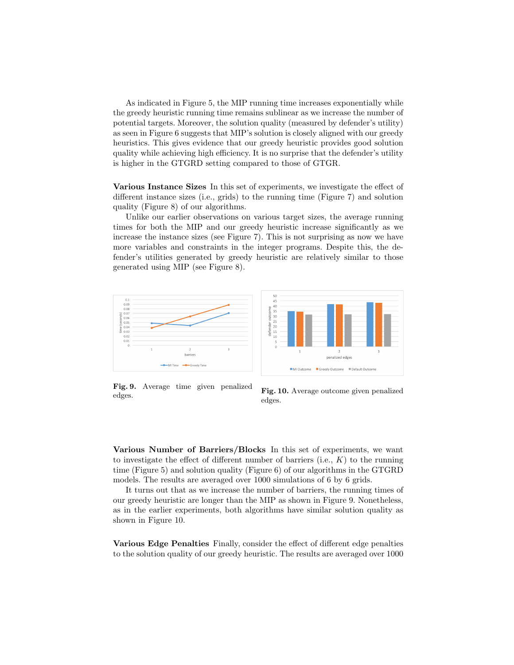As indicated in Figure 5, the MIP running time increases exponentially while the greedy heuristic running time remains sublinear as we increase the number of potential targets. Moreover, the solution quality (measured by defender's utility) as seen in Figure 6 suggests that MIP's solution is closely aligned with our greedy heuristics. This gives evidence that our greedy heuristic provides good solution quality while achieving high efficiency. It is no surprise that the defender's utility is higher in the GTGRD setting compared to those of GTGR.

Various Instance Sizes In this set of experiments, we investigate the effect of different instance sizes (i.e., grids) to the running time (Figure 7) and solution quality (Figure 8) of our algorithms.

Unlike our earlier observations on various target sizes, the average running times for both the MIP and our greedy heuristic increase significantly as we increase the instance sizes (see Figure 7). This is not surprising as now we have more variables and constraints in the integer programs. Despite this, the defender's utilities generated by greedy heuristic are relatively similar to those generated using MIP (see Figure 8).





Fig. 9. Average time given penalized Fig. 3. Average time given penalized<br>edges.

edges.

Various Number of Barriers/Blocks In this set of experiments, we want to investigate the effect of different number of barriers  $(i.e., K)$  to the running time (Figure 5) and solution quality (Figure 6) of our algorithms in the GTGRD models. The results are averaged over 1000 simulations of 6 by 6 grids.

It turns out that as we increase the number of barriers, the running times of our greedy heuristic are longer than the MIP as shown in Figure 9. Nonetheless, as in the earlier experiments, both algorithms have similar solution quality as shown in Figure 10.

Various Edge Penalties Finally, consider the effect of different edge penalties to the solution quality of our greedy heuristic. The results are averaged over 1000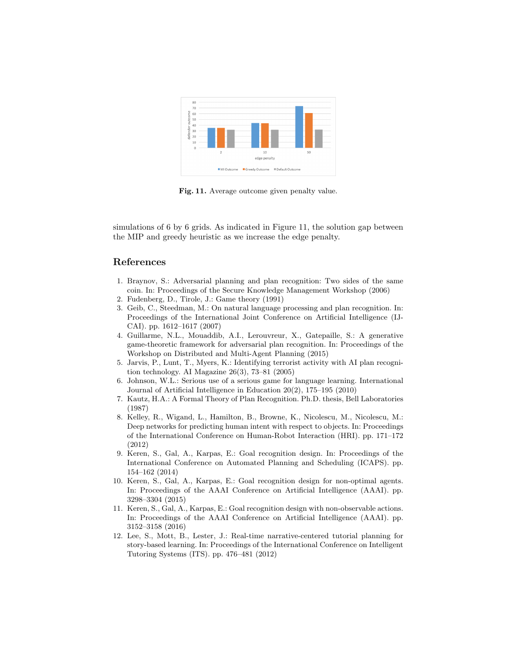

Fig. 11. Average outcome given penalty value.

simulations of 6 by 6 grids. As indicated in Figure 11, the solution gap between the MIP and greedy heuristic as we increase the edge penalty.

# References

- 1. Braynov, S.: Adversarial planning and plan recognition: Two sides of the same coin. In: Proceedings of the Secure Knowledge Management Workshop (2006)
- 2. Fudenberg, D., Tirole, J.: Game theory (1991)
- 3. Geib, C., Steedman, M.: On natural language processing and plan recognition. In: Proceedings of the International Joint Conference on Artificial Intelligence (IJ-CAI). pp. 1612–1617 (2007)
- 4. Guillarme, N.L., Mouaddib, A.I., Lerouvreur, X., Gatepaille, S.: A generative game-theoretic framework for adversarial plan recognition. In: Proceedings of the Workshop on Distributed and Multi-Agent Planning (2015)
- 5. Jarvis, P., Lunt, T., Myers, K.: Identifying terrorist activity with AI plan recognition technology. AI Magazine 26(3), 73–81 (2005)
- 6. Johnson, W.L.: Serious use of a serious game for language learning. International Journal of Artificial Intelligence in Education 20(2), 175–195 (2010)
- 7. Kautz, H.A.: A Formal Theory of Plan Recognition. Ph.D. thesis, Bell Laboratories (1987)
- 8. Kelley, R., Wigand, L., Hamilton, B., Browne, K., Nicolescu, M., Nicolescu, M.: Deep networks for predicting human intent with respect to objects. In: Proceedings of the International Conference on Human-Robot Interaction (HRI). pp. 171–172 (2012)
- 9. Keren, S., Gal, A., Karpas, E.: Goal recognition design. In: Proceedings of the International Conference on Automated Planning and Scheduling (ICAPS). pp. 154–162 (2014)
- 10. Keren, S., Gal, A., Karpas, E.: Goal recognition design for non-optimal agents. In: Proceedings of the AAAI Conference on Artificial Intelligence (AAAI). pp. 3298–3304 (2015)
- 11. Keren, S., Gal, A., Karpas, E.: Goal recognition design with non-observable actions. In: Proceedings of the AAAI Conference on Artificial Intelligence (AAAI). pp. 3152–3158 (2016)
- 12. Lee, S., Mott, B., Lester, J.: Real-time narrative-centered tutorial planning for story-based learning. In: Proceedings of the International Conference on Intelligent Tutoring Systems (ITS). pp. 476–481 (2012)